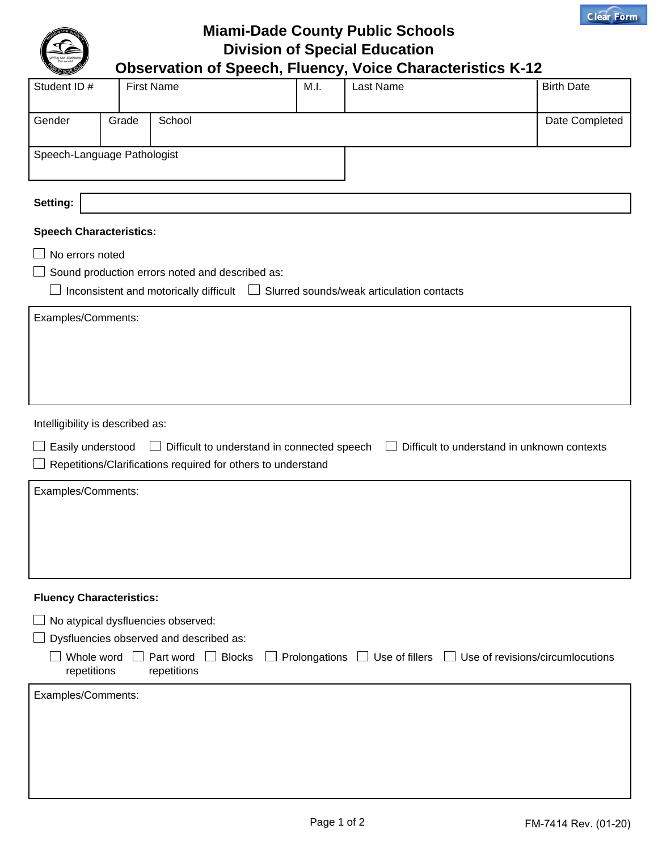

**Miami-Dade County Public Schools Division of Special Education Observation of Speech, Fluency, Voice Characteristics K-12**

| Student ID#                                                                                                                                            |       | <b>First Name</b>                               | M.I. | Last Name | <b>Birth Date</b> |  |  |  |  |
|--------------------------------------------------------------------------------------------------------------------------------------------------------|-------|-------------------------------------------------|------|-----------|-------------------|--|--|--|--|
| Gender                                                                                                                                                 | Grade | School<br>Date Completed                        |      |           |                   |  |  |  |  |
| Speech-Language Pathologist                                                                                                                            |       |                                                 |      |           |                   |  |  |  |  |
|                                                                                                                                                        |       |                                                 |      |           |                   |  |  |  |  |
| Setting:                                                                                                                                               |       |                                                 |      |           |                   |  |  |  |  |
| <b>Speech Characteristics:</b>                                                                                                                         |       |                                                 |      |           |                   |  |  |  |  |
| No errors noted                                                                                                                                        |       |                                                 |      |           |                   |  |  |  |  |
|                                                                                                                                                        |       | Sound production errors noted and described as: |      |           |                   |  |  |  |  |
| Inconsistent and motorically difficult $\Box$ Slurred sounds/weak articulation contacts<br>$\Box$                                                      |       |                                                 |      |           |                   |  |  |  |  |
| Examples/Comments:                                                                                                                                     |       |                                                 |      |           |                   |  |  |  |  |
|                                                                                                                                                        |       |                                                 |      |           |                   |  |  |  |  |
|                                                                                                                                                        |       |                                                 |      |           |                   |  |  |  |  |
|                                                                                                                                                        |       |                                                 |      |           |                   |  |  |  |  |
|                                                                                                                                                        |       |                                                 |      |           |                   |  |  |  |  |
| Intelligibility is described as:                                                                                                                       |       |                                                 |      |           |                   |  |  |  |  |
| □ Difficult to understand in connected speech<br>Easily understood<br>Difficult to understand in unknown contexts                                      |       |                                                 |      |           |                   |  |  |  |  |
| Repetitions/Clarifications required for others to understand                                                                                           |       |                                                 |      |           |                   |  |  |  |  |
| Examples/Comments:                                                                                                                                     |       |                                                 |      |           |                   |  |  |  |  |
|                                                                                                                                                        |       |                                                 |      |           |                   |  |  |  |  |
|                                                                                                                                                        |       |                                                 |      |           |                   |  |  |  |  |
|                                                                                                                                                        |       |                                                 |      |           |                   |  |  |  |  |
|                                                                                                                                                        |       |                                                 |      |           |                   |  |  |  |  |
| <b>Fluency Characteristics:</b>                                                                                                                        |       |                                                 |      |           |                   |  |  |  |  |
|                                                                                                                                                        |       | No atypical dysfluencies observed:              |      |           |                   |  |  |  |  |
| Dysfluencies observed and described as:                                                                                                                |       |                                                 |      |           |                   |  |  |  |  |
| Whole word $\Box$ Part word $\Box$ Blocks<br>Prolongations $\Box$ Use of fillers $\Box$ Use of revisions/circumlocutions<br>repetitions<br>repetitions |       |                                                 |      |           |                   |  |  |  |  |
| Examples/Comments:                                                                                                                                     |       |                                                 |      |           |                   |  |  |  |  |
|                                                                                                                                                        |       |                                                 |      |           |                   |  |  |  |  |
|                                                                                                                                                        |       |                                                 |      |           |                   |  |  |  |  |
|                                                                                                                                                        |       |                                                 |      |           |                   |  |  |  |  |
|                                                                                                                                                        |       |                                                 |      |           |                   |  |  |  |  |